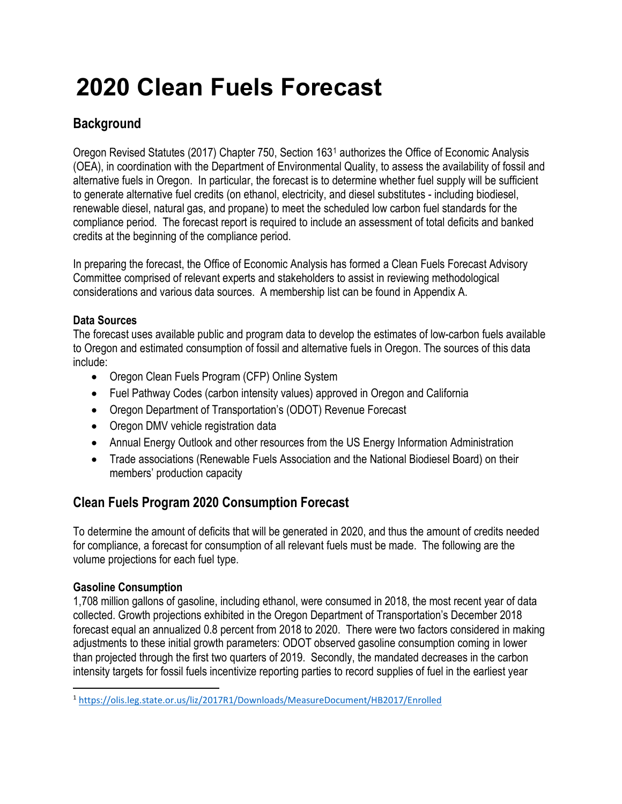# **2020 Clean Fuels Forecast**

## **Background**

Oregon Revised Statutes (2017) Chapter 750, Section 163[1](#page-0-0) authorizes the Office of Economic Analysis (OEA), in coordination with the Department of Environmental Quality, to assess the availability of fossil and alternative fuels in Oregon. In particular, the forecast is to determine whether fuel supply will be sufficient to generate alternative fuel credits (on ethanol, electricity, and diesel substitutes - including biodiesel, renewable diesel, natural gas, and propane) to meet the scheduled low carbon fuel standards for the compliance period. The forecast report is required to include an assessment of total deficits and banked credits at the beginning of the compliance period.

In preparing the forecast, the Office of Economic Analysis has formed a Clean Fuels Forecast Advisory Committee comprised of relevant experts and stakeholders to assist in reviewing methodological considerations and various data sources. A membership list can be found in Appendix A.

#### **Data Sources**

The forecast uses available public and program data to develop the estimates of low-carbon fuels available to Oregon and estimated consumption of fossil and alternative fuels in Oregon. The sources of this data include:

- Oregon Clean Fuels Program (CFP) Online System
- Fuel Pathway Codes (carbon intensity values) approved in Oregon and California
- Oregon Department of Transportation's (ODOT) Revenue Forecast
- Oregon DMV vehicle registration data
- Annual Energy Outlook and other resources from the US Energy Information Administration
- Trade associations (Renewable Fuels Association and the National Biodiesel Board) on their members' production capacity

## **Clean Fuels Program 2020 Consumption Forecast**

To determine the amount of deficits that will be generated in 2020, and thus the amount of credits needed for compliance, a forecast for consumption of all relevant fuels must be made. The following are the volume projections for each fuel type.

#### **Gasoline Consumption**

1,708 million gallons of gasoline, including ethanol, were consumed in 2018, the most recent year of data collected. Growth projections exhibited in the Oregon Department of Transportation's December 2018 forecast equal an annualized 0.8 percent from 2018 to 2020. There were two factors considered in making adjustments to these initial growth parameters: ODOT observed gasoline consumption coming in lower than projected through the first two quarters of 2019. Secondly, the mandated decreases in the carbon intensity targets for fossil fuels incentivize reporting parties to record supplies of fuel in the earliest year

<span id="page-0-0"></span> <sup>1</sup> <https://olis.leg.state.or.us/liz/2017R1/Downloads/MeasureDocument/HB2017/Enrolled>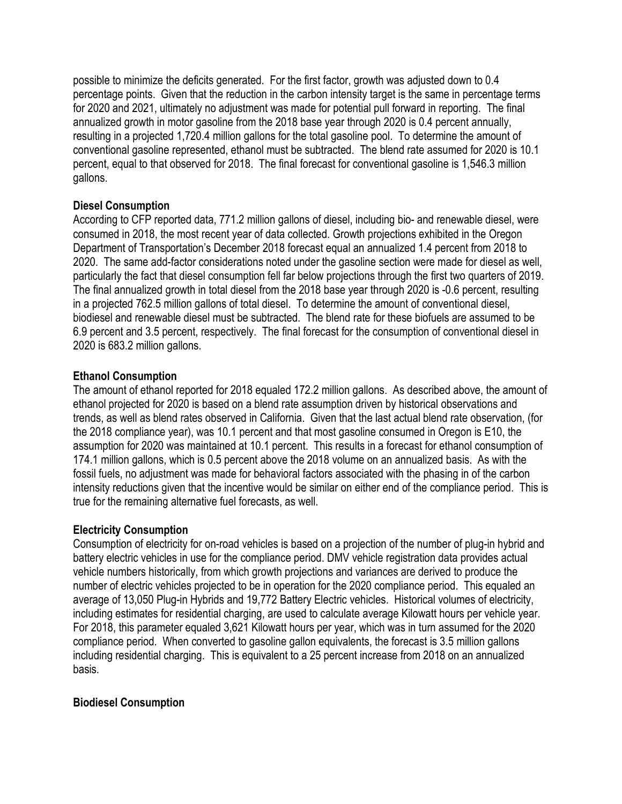possible to minimize the deficits generated. For the first factor, growth was adjusted down to 0.4 percentage points. Given that the reduction in the carbon intensity target is the same in percentage terms for 2020 and 2021, ultimately no adjustment was made for potential pull forward in reporting. The final annualized growth in motor gasoline from the 2018 base year through 2020 is 0.4 percent annually, resulting in a projected 1,720.4 million gallons for the total gasoline pool. To determine the amount of conventional gasoline represented, ethanol must be subtracted. The blend rate assumed for 2020 is 10.1 percent, equal to that observed for 2018. The final forecast for conventional gasoline is 1,546.3 million gallons.

#### **Diesel Consumption**

According to CFP reported data, 771.2 million gallons of diesel, including bio- and renewable diesel, were consumed in 2018, the most recent year of data collected. Growth projections exhibited in the Oregon Department of Transportation's December 2018 forecast equal an annualized 1.4 percent from 2018 to 2020. The same add-factor considerations noted under the gasoline section were made for diesel as well, particularly the fact that diesel consumption fell far below projections through the first two quarters of 2019. The final annualized growth in total diesel from the 2018 base year through 2020 is -0.6 percent, resulting in a projected 762.5 million gallons of total diesel. To determine the amount of conventional diesel, biodiesel and renewable diesel must be subtracted. The blend rate for these biofuels are assumed to be 6.9 percent and 3.5 percent, respectively. The final forecast for the consumption of conventional diesel in 2020 is 683.2 million gallons.

#### **Ethanol Consumption**

The amount of ethanol reported for 2018 equaled 172.2 million gallons. As described above, the amount of ethanol projected for 2020 is based on a blend rate assumption driven by historical observations and trends, as well as blend rates observed in California. Given that the last actual blend rate observation, (for the 2018 compliance year), was 10.1 percent and that most gasoline consumed in Oregon is E10, the assumption for 2020 was maintained at 10.1 percent. This results in a forecast for ethanol consumption of 174.1 million gallons, which is 0.5 percent above the 2018 volume on an annualized basis. As with the fossil fuels, no adjustment was made for behavioral factors associated with the phasing in of the carbon intensity reductions given that the incentive would be similar on either end of the compliance period. This is true for the remaining alternative fuel forecasts, as well.

#### **Electricity Consumption**

Consumption of electricity for on-road vehicles is based on a projection of the number of plug-in hybrid and battery electric vehicles in use for the compliance period. DMV vehicle registration data provides actual vehicle numbers historically, from which growth projections and variances are derived to produce the number of electric vehicles projected to be in operation for the 2020 compliance period. This equaled an average of 13,050 Plug-in Hybrids and 19,772 Battery Electric vehicles. Historical volumes of electricity, including estimates for residential charging, are used to calculate average Kilowatt hours per vehicle year. For 2018, this parameter equaled 3,621 Kilowatt hours per year, which was in turn assumed for the 2020 compliance period. When converted to gasoline gallon equivalents, the forecast is 3.5 million gallons including residential charging. This is equivalent to a 25 percent increase from 2018 on an annualized basis.

#### **Biodiesel Consumption**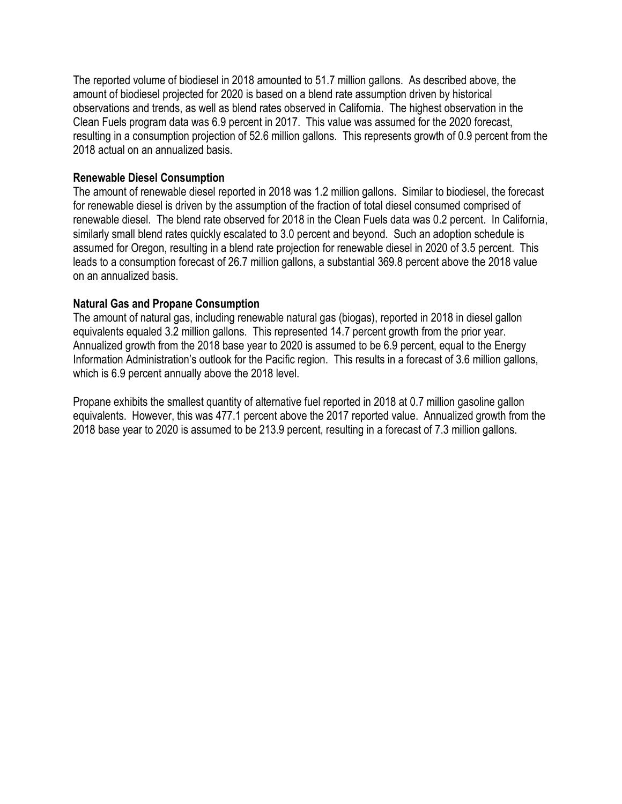The reported volume of biodiesel in 2018 amounted to 51.7 million gallons. As described above, the amount of biodiesel projected for 2020 is based on a blend rate assumption driven by historical observations and trends, as well as blend rates observed in California. The highest observation in the Clean Fuels program data was 6.9 percent in 2017. This value was assumed for the 2020 forecast, resulting in a consumption projection of 52.6 million gallons. This represents growth of 0.9 percent from the 2018 actual on an annualized basis.

#### **Renewable Diesel Consumption**

The amount of renewable diesel reported in 2018 was 1.2 million gallons. Similar to biodiesel, the forecast for renewable diesel is driven by the assumption of the fraction of total diesel consumed comprised of renewable diesel. The blend rate observed for 2018 in the Clean Fuels data was 0.2 percent. In California, similarly small blend rates quickly escalated to 3.0 percent and beyond. Such an adoption schedule is assumed for Oregon, resulting in a blend rate projection for renewable diesel in 2020 of 3.5 percent. This leads to a consumption forecast of 26.7 million gallons, a substantial 369.8 percent above the 2018 value on an annualized basis.

#### **Natural Gas and Propane Consumption**

The amount of natural gas, including renewable natural gas (biogas), reported in 2018 in diesel gallon equivalents equaled 3.2 million gallons. This represented 14.7 percent growth from the prior year. Annualized growth from the 2018 base year to 2020 is assumed to be 6.9 percent, equal to the Energy Information Administration's outlook for the Pacific region. This results in a forecast of 3.6 million gallons, which is 6.9 percent annually above the 2018 level.

Propane exhibits the smallest quantity of alternative fuel reported in 2018 at 0.7 million gasoline gallon equivalents. However, this was 477.1 percent above the 2017 reported value. Annualized growth from the 2018 base year to 2020 is assumed to be 213.9 percent, resulting in a forecast of 7.3 million gallons.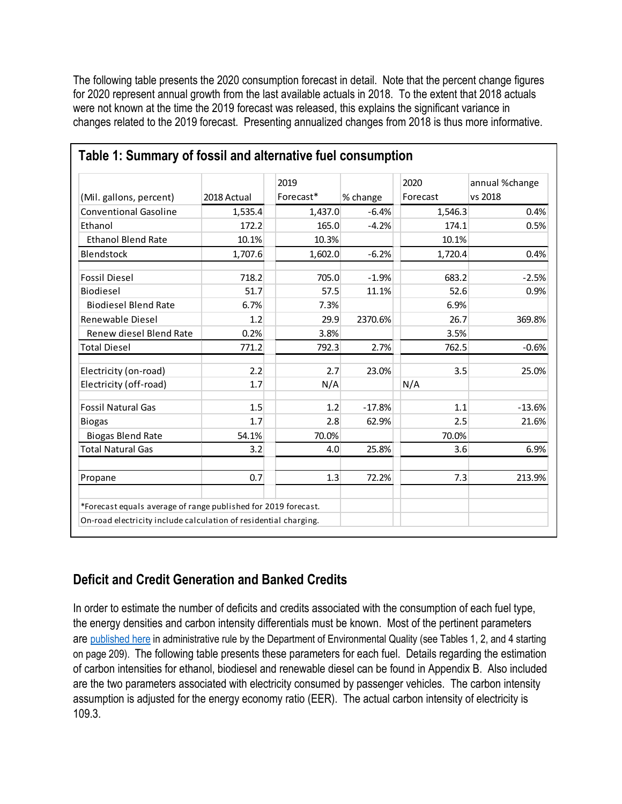The following table presents the 2020 consumption forecast in detail. Note that the percent change figures for 2020 represent annual growth from the last available actuals in 2018. To the extent that 2018 actuals were not known at the time the 2019 forecast was released, this explains the significant variance in changes related to the 2019 forecast. Presenting annualized changes from 2018 is thus more informative.

|                                                                  |             | 2019      |          | 2020     | annual %change |
|------------------------------------------------------------------|-------------|-----------|----------|----------|----------------|
| (Mil. gallons, percent)                                          | 2018 Actual | Forecast* | % change | Forecast | vs 2018        |
| <b>Conventional Gasoline</b>                                     | 1,535.4     | 1,437.0   | $-6.4%$  | 1,546.3  | 0.4%           |
| Ethanol                                                          | 172.2       | 165.0     | $-4.2%$  | 174.1    | 0.5%           |
| <b>Ethanol Blend Rate</b>                                        | 10.1%       | 10.3%     |          | 10.1%    |                |
| <b>Blendstock</b>                                                | 1,707.6     | 1,602.0   | $-6.2%$  | 1,720.4  | 0.4%           |
| <b>Fossil Diesel</b>                                             | 718.2       | 705.0     | $-1.9%$  | 683.2    | $-2.5%$        |
| <b>Biodiesel</b>                                                 | 51.7        | 57.5      | 11.1%    | 52.6     | 0.9%           |
| <b>Biodiesel Blend Rate</b>                                      | 6.7%        | 7.3%      |          | 6.9%     |                |
| Renewable Diesel                                                 | 1.2         | 29.9      | 2370.6%  | 26.7     | 369.8%         |
| Renew diesel Blend Rate                                          | 0.2%        | 3.8%      |          | 3.5%     |                |
| <b>Total Diesel</b>                                              | 771.2       | 792.3     | 2.7%     | 762.5    | $-0.6%$        |
| Electricity (on-road)                                            | 2.2         | 2.7       | 23.0%    | 3.5      | 25.0%          |
| Electricity (off-road)                                           | 1.7         | N/A       |          | N/A      |                |
| <b>Fossil Natural Gas</b>                                        | 1.5         | 1.2       | $-17.8%$ | 1.1      | $-13.6%$       |
| <b>Biogas</b>                                                    | 1.7         | 2.8       | 62.9%    | 2.5      | 21.6%          |
| <b>Biogas Blend Rate</b>                                         | 54.1%       | 70.0%     |          | 70.0%    |                |
| <b>Total Natural Gas</b>                                         | 3.2         | 4.0       | 25.8%    | 3.6      | 6.9%           |
| Propane                                                          | 0.7         | 1.3       | 72.2%    | 7.3      | 213.9%         |
| *Forecast equals average of range published for 2019 forecast.   |             |           |          |          |                |
| On-road electricity include calculation of residential charging. |             |           |          |          |                |

#### **Table 1: Summary of fossil and alternative fuel consumption**

### **Deficit and Credit Generation and Banked Credits**

In order to estimate the number of deficits and credits associated with the consumption of each fuel type, the energy densities and carbon intensity differentials must be known. Most of the pertinent parameters are [published here](https://www.oregon.gov/deq/EQCdocs/20171102ItemKCleanFuels.pdf) in administrative rule by the Department of Environmental Quality (see Tables 1, 2, and 4 starting on page 209). The following table presents these parameters for each fuel. Details regarding the estimation of carbon intensities for ethanol, biodiesel and renewable diesel can be found in Appendix B. Also included are the two parameters associated with electricity consumed by passenger vehicles. The carbon intensity assumption is adjusted for the energy economy ratio (EER). The actual carbon intensity of electricity is 109.3.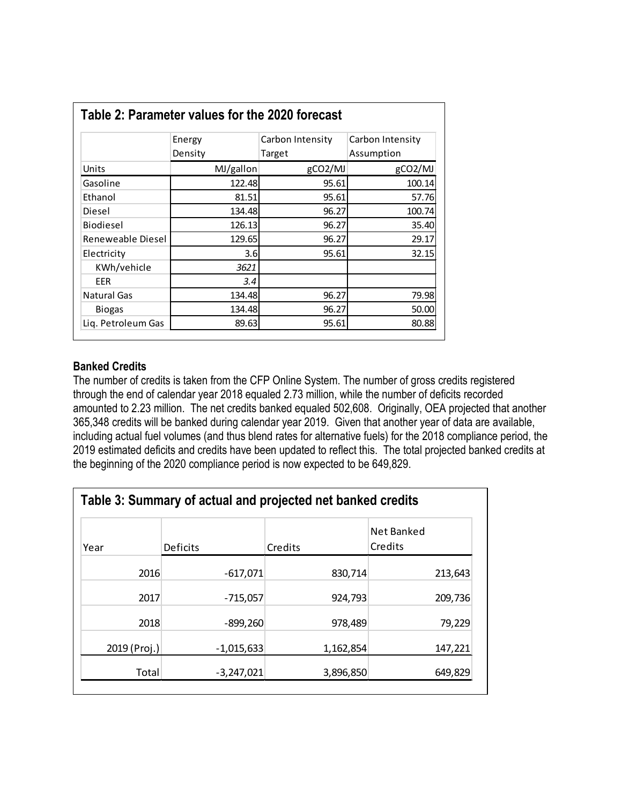|                    | Energy    | Carbon Intensity | Carbon Intensity |
|--------------------|-----------|------------------|------------------|
|                    | Density   | Target           | Assumption       |
| Units              | MJ/gallon | gCO2/MJ          | gCO2/MJ          |
| Gasoline           | 122.48    | 95.61            | 100.14           |
| Ethanol            | 81.51     | 95.61            | 57.76            |
| Diesel             | 134.48    | 96.27            | 100.74           |
| <b>Biodiesel</b>   | 126.13    | 96.27            | 35.40            |
| Reneweable Diesel  | 129.65    | 96.27            | 29.17            |
| Electricity        | 3.6       | 95.61            | 32.15            |
| KWh/vehicle        | 3621      |                  |                  |
| <b>EER</b>         | 3.4       |                  |                  |
| <b>Natural Gas</b> | 134.48    | 96.27            | 79.98            |
| <b>Biogas</b>      | 134.48    | 96.27            | 50.00            |
| Liq. Petroleum Gas | 89.63     | 95.61            | 80.88            |

#### **Banked Credits**

The number of credits is taken from the CFP Online System. The number of gross credits registered through the end of calendar year 2018 equaled 2.73 million, while the number of deficits recorded amounted to 2.23 million. The net credits banked equaled 502,608. Originally, OEA projected that another 365,348 credits will be banked during calendar year 2019. Given that another year of data are available, including actual fuel volumes (and thus blend rates for alternative fuels) for the 2018 compliance period, the 2019 estimated deficits and credits have been updated to reflect this. The total projected banked credits at the beginning of the 2020 compliance period is now expected to be 649,829.

| Table 3: Summary of actual and projected net banked credits |              |           |                       |  |
|-------------------------------------------------------------|--------------|-----------|-----------------------|--|
| Year                                                        | Deficits     | Credits   | Net Banked<br>Credits |  |
| 2016                                                        | $-617,071$   | 830,714   | 213,643               |  |
| 2017                                                        | $-715,057$   | 924,793   | 209,736               |  |
| 2018                                                        | $-899,260$   | 978,489   | 79,229                |  |
| 2019 (Proj.)                                                | $-1,015,633$ | 1,162,854 | 147,221               |  |
| Total                                                       | $-3,247,021$ | 3,896,850 | 649,829               |  |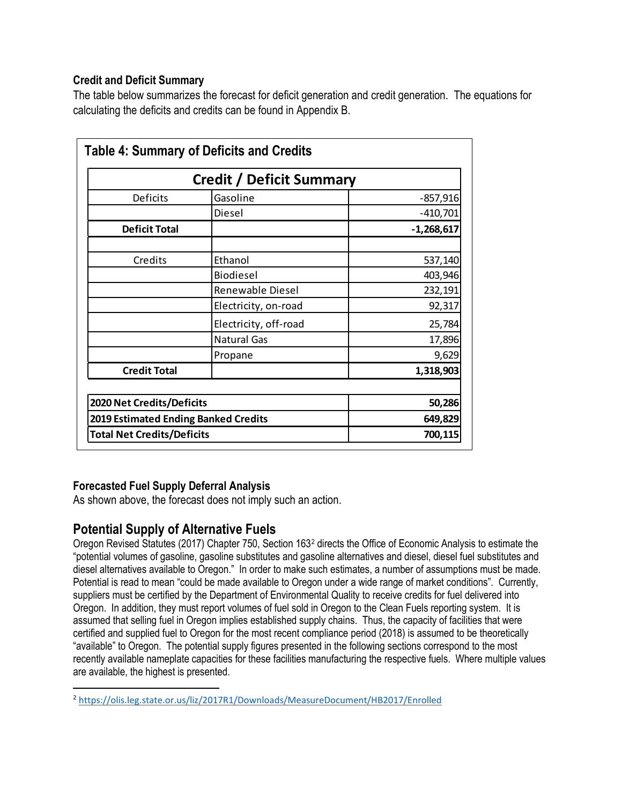#### **Credit and Deficit Summary**

The table below summarizes the forecast for deficit generation and credit generation. The equations for calculating the deficits and credits can be found in Appendix B.

| <b>Table 4: Summary of Deficits and Credits</b> |                                             |              |
|-------------------------------------------------|---------------------------------------------|--------------|
| <b>Credit / Deficit Summary</b>                 |                                             |              |
| Deficits                                        | Gasoline                                    | $-857,916$   |
|                                                 | Diesel                                      | $-410,701$   |
| <b>Deficit Total</b>                            |                                             | $-1,268,617$ |
| Credits                                         | Ethanol                                     | 537,140      |
|                                                 | <b>Biodiesel</b>                            | 403,946      |
|                                                 | Renewable Diesel                            | 232,191      |
|                                                 | Electricity, on-road                        | 92,317       |
|                                                 | Electricity, off-road                       | 25,784       |
|                                                 | <b>Natural Gas</b>                          | 17,896       |
|                                                 | Propane                                     | 9,629        |
| <b>Credit Total</b>                             |                                             | 1,318,903    |
| 2020 Net Credits/Deficits                       |                                             | 50,286       |
|                                                 | <b>2019 Estimated Ending Banked Credits</b> |              |
|                                                 | <b>Total Net Credits/Deficits</b>           |              |

#### **Forecasted Fuel Supply Deferral Analysis**

As shown above, the forecast does not imply such an action.

#### **Potential Supply of Alternative Fuels**

Oregon Revised Statutes (2017) Chapter 750, Section 163[2](#page-5-0) directs the Office of Economic Analysis to estimate the "potential volumes of gasoline, gasoline substitutes and gasoline alternatives and diesel, diesel fuel substitutes and diesel alternatives available to Oregon." In order to make such estimates, a number of assumptions must be made. Potential is read to mean "could be made available to Oregon under a wide range of market conditions". Currently, suppliers must be certified by the Department of Environmental Quality to receive credits for fuel delivered into Oregon. In addition, they must report volumes of fuel sold in Oregon to the Clean Fuels reporting system. It is assumed that selling fuel in Oregon implies established supply chains. Thus, the capacity of facilities that were certified and supplied fuel to Oregon for the most recent compliance period (2018) is assumed to be theoretically "available" to Oregon. The potential supply figures presented in the following sections correspond to the most recently available nameplate capacities for these facilities manufacturing the respective fuels. Where multiple values are available, the highest is presented.

<span id="page-5-0"></span> <sup>2</sup> <https://olis.leg.state.or.us/liz/2017R1/Downloads/MeasureDocument/HB2017/Enrolled>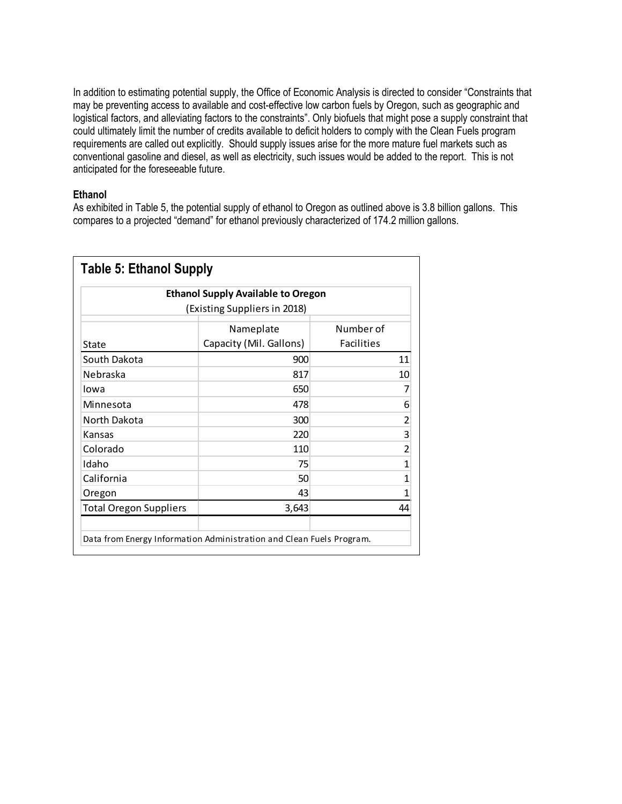In addition to estimating potential supply, the Office of Economic Analysis is directed to consider "Constraints that may be preventing access to available and cost-effective low carbon fuels by Oregon, such as geographic and logistical factors, and alleviating factors to the constraints". Only biofuels that might pose a supply constraint that could ultimately limit the number of credits available to deficit holders to comply with the Clean Fuels program requirements are called out explicitly. Should supply issues arise for the more mature fuel markets such as conventional gasoline and diesel, as well as electricity, such issues would be added to the report. This is not anticipated for the foreseeable future.

#### **Ethanol**

As exhibited in Table 5, the potential supply of ethanol to Oregon as outlined above is 3.8 billion gallons. This compares to a projected "demand" for ethanol previously characterized of 174.2 million gallons.

|                               | <b>Ethanol Supply Available to Oregon</b> |                                |
|-------------------------------|-------------------------------------------|--------------------------------|
|                               | (Existing Suppliers in 2018)              |                                |
| State                         | Nameplate<br>Capacity (Mil. Gallons)      | Number of<br><b>Facilities</b> |
| South Dakota                  | 900                                       | 11                             |
| Nebraska                      | 817                                       | 10                             |
| Iowa                          | 650                                       | 7                              |
| Minnesota                     | 478                                       | 6                              |
| North Dakota                  | 300                                       | $\overline{c}$                 |
| Kansas                        | 220                                       | $\overline{3}$                 |
| Colorado                      | 110                                       | $\overline{2}$                 |
| Idaho                         | 75                                        | $\overline{1}$                 |
| California                    | 50                                        | $\mathbf 1$                    |
| Oregon                        | 43                                        | 1                              |
| <b>Total Oregon Suppliers</b> | 3,643                                     | 44                             |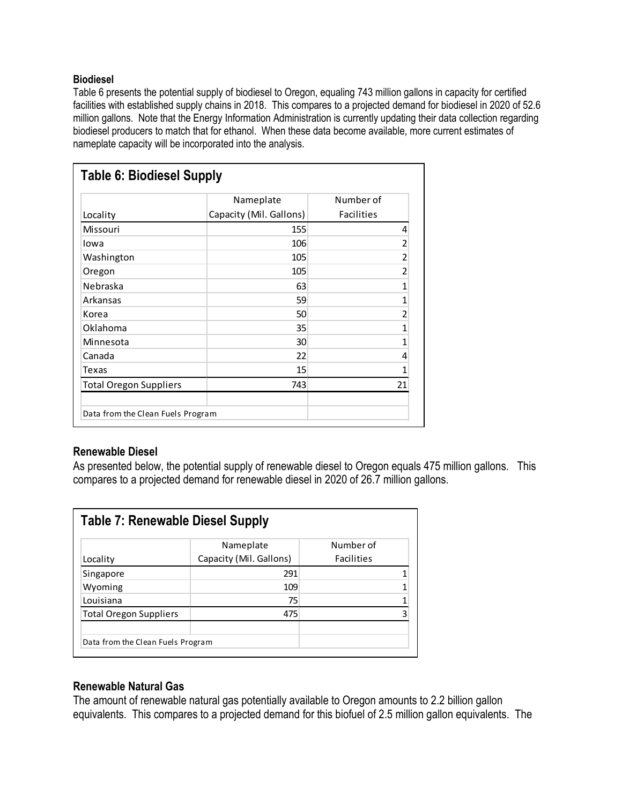#### **Biodiesel**

Table 6 presents the potential supply of biodiesel to Oregon, equaling 743 million gallons in capacity for certified facilities with established supply chains in 2018. This compares to a projected demand for biodiesel in 2020 of 52.6 million gallons. Note that the Energy Information Administration is currently updating their data collection regarding biodiesel producers to match that for ethanol. When these data become available, more current estimates of nameplate capacity will be incorporated into the analysis.

|                               | Nameplate               | Number of         |
|-------------------------------|-------------------------|-------------------|
| Locality                      | Capacity (Mil. Gallons) | <b>Facilities</b> |
| Missouri                      | 155                     | 4                 |
| Iowa                          | 106                     | 2                 |
| Washington                    | 105                     | $\overline{2}$    |
| Oregon                        | 105                     | 2                 |
| Nebraska                      | 63                      | 1                 |
| Arkansas                      | 59                      | 1                 |
| Korea                         | 50                      | 2                 |
| Oklahoma                      | 35                      | 1                 |
| Minnesota                     | 30                      | 1                 |
| Canada                        | 22                      | 4                 |
| Texas                         | 15                      | 1                 |
| <b>Total Oregon Suppliers</b> | 743                     | 21                |

#### **Renewable Diesel**

As presented below, the potential supply of renewable diesel to Oregon equals 475 million gallons. This compares to a projected demand for renewable diesel in 2020 of 26.7 million gallons.

| <b>Table 7: Renewable Diesel Supply</b> |                                      |                                |  |
|-----------------------------------------|--------------------------------------|--------------------------------|--|
| Locality                                | Nameplate<br>Capacity (Mil. Gallons) | Number of<br><b>Facilities</b> |  |
| Singapore                               | 291                                  |                                |  |
| Wyoming                                 | 109                                  |                                |  |
| Louisiana                               | 75                                   |                                |  |
| <b>Total Oregon Suppliers</b>           | 475                                  |                                |  |
| Data from the Clean Fuels Program       |                                      |                                |  |

#### **Renewable Natural Gas**

The amount of renewable natural gas potentially available to Oregon amounts to 2.2 billion gallon equivalents. This compares to a projected demand for this biofuel of 2.5 million gallon equivalents. The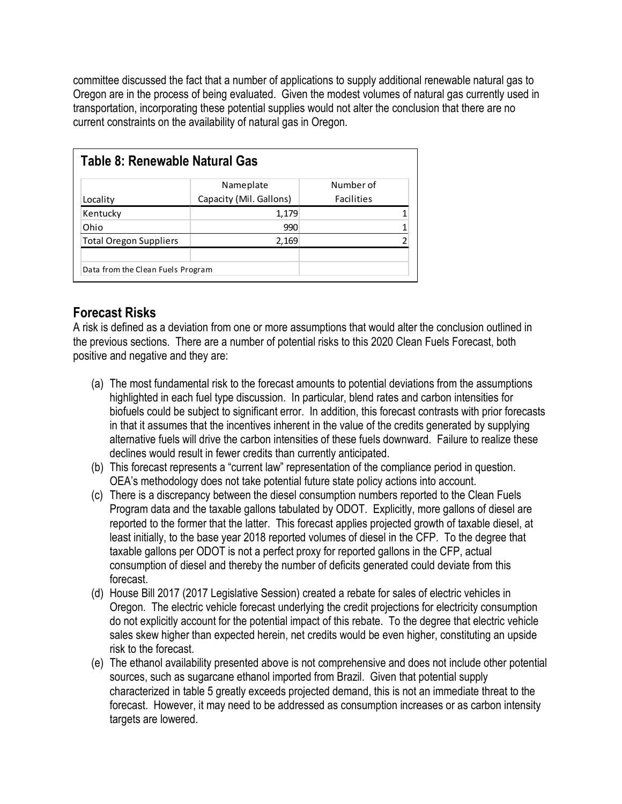committee discussed the fact that a number of applications to supply additional renewable natural gas to Oregon are in the process of being evaluated. Given the modest volumes of natural gas currently used in transportation, incorporating these potential supplies would not alter the conclusion that there are no current constraints on the availability of natural gas in Oregon.

| Table 8: Renewable Natural Gas    |                         |                   |  |
|-----------------------------------|-------------------------|-------------------|--|
|                                   | Nameplate               | Number of         |  |
| Locality                          | Capacity (Mil. Gallons) | <b>Facilities</b> |  |
| Kentucky                          | 1,179                   |                   |  |
| Ohio                              | 990                     |                   |  |
| <b>Total Oregon Suppliers</b>     | 2,169                   |                   |  |
| Data from the Clean Fuels Program |                         |                   |  |

## **Forecast Risks**

A risk is defined as a deviation from one or more assumptions that would alter the conclusion outlined in the previous sections. There are a number of potential risks to this 2020 Clean Fuels Forecast, both positive and negative and they are:

- (a) The most fundamental risk to the forecast amounts to potential deviations from the assumptions highlighted in each fuel type discussion. In particular, blend rates and carbon intensities for biofuels could be subject to significant error. In addition, this forecast contrasts with prior forecasts in that it assumes that the incentives inherent in the value of the credits generated by supplying alternative fuels will drive the carbon intensities of these fuels downward. Failure to realize these declines would result in fewer credits than currently anticipated.
- (b) This forecast represents a "current law" representation of the compliance period in question. OEA's methodology does not take potential future state policy actions into account.
- (c) There is a discrepancy between the diesel consumption numbers reported to the Clean Fuels Program data and the taxable gallons tabulated by ODOT. Explicitly, more gallons of diesel are reported to the former that the latter. This forecast applies projected growth of taxable diesel, at least initially, to the base year 2018 reported volumes of diesel in the CFP. To the degree that taxable gallons per ODOT is not a perfect proxy for reported gallons in the CFP, actual consumption of diesel and thereby the number of deficits generated could deviate from this forecast.
- (d) House Bill 2017 (2017 Legislative Session) created a rebate for sales of electric vehicles in Oregon. The electric vehicle forecast underlying the credit projections for electricity consumption do not explicitly account for the potential impact of this rebate. To the degree that electric vehicle sales skew higher than expected herein, net credits would be even higher, constituting an upside risk to the forecast.
- (e) The ethanol availability presented above is not comprehensive and does not include other potential sources, such as sugarcane ethanol imported from Brazil. Given that potential supply characterized in table 5 greatly exceeds projected demand, this is not an immediate threat to the forecast. However, it may need to be addressed as consumption increases or as carbon intensity targets are lowered.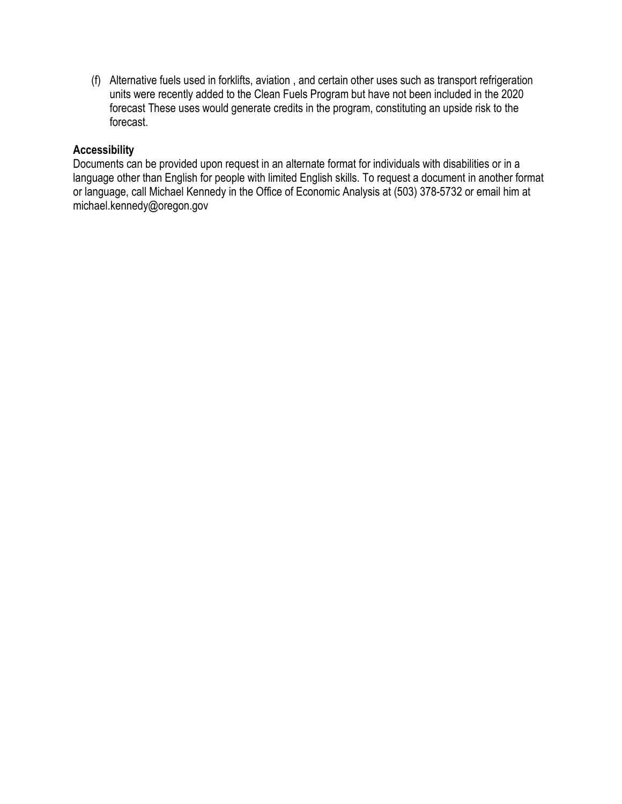(f) Alternative fuels used in forklifts, aviation , and certain other uses such as transport refrigeration units were recently added to the Clean Fuels Program but have not been included in the 2020 forecast These uses would generate credits in the program, constituting an upside risk to the forecast.

#### **Accessibility**

Documents can be provided upon request in an alternate format for individuals with disabilities or in a language other than English for people with limited English skills. To request a document in another format or language, call Michael Kennedy in the Office of Economic Analysis at (503) 378-5732 or email him at michael.kennedy@oregon.gov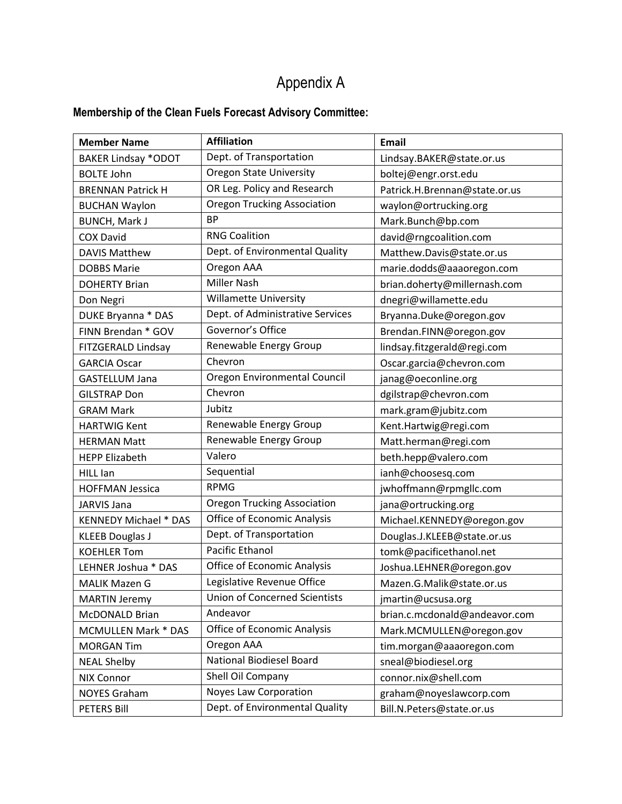## Appendix A

## **Membership of the Clean Fuels Forecast Advisory Committee:**

| <b>Member Name</b>           | <b>Affiliation</b>                   | Email                         |
|------------------------------|--------------------------------------|-------------------------------|
| <b>BAKER Lindsay *ODOT</b>   | Dept. of Transportation              | Lindsay.BAKER@state.or.us     |
| <b>BOLTE John</b>            | <b>Oregon State University</b>       | boltej@engr.orst.edu          |
| <b>BRENNAN Patrick H</b>     | OR Leg. Policy and Research          | Patrick.H.Brennan@state.or.us |
| <b>BUCHAN Waylon</b>         | <b>Oregon Trucking Association</b>   | waylon@ortrucking.org         |
| <b>BUNCH, Mark J</b>         | <b>BP</b>                            | Mark.Bunch@bp.com             |
| <b>COX David</b>             | <b>RNG Coalition</b>                 | david@rngcoalition.com        |
| <b>DAVIS Matthew</b>         | Dept. of Environmental Quality       | Matthew.Davis@state.or.us     |
| <b>DOBBS Marie</b>           | Oregon AAA                           | marie.dodds@aaaoregon.com     |
| <b>DOHERTY Brian</b>         | <b>Miller Nash</b>                   | brian.doherty@millernash.com  |
| Don Negri                    | <b>Willamette University</b>         | dnegri@willamette.edu         |
| DUKE Bryanna * DAS           | Dept. of Administrative Services     | Bryanna.Duke@oregon.gov       |
| FINN Brendan * GOV           | Governor's Office                    | Brendan.FINN@oregon.gov       |
| FITZGERALD Lindsay           | Renewable Energy Group               | lindsay.fitzgerald@regi.com   |
| <b>GARCIA Oscar</b>          | Chevron                              | Oscar.garcia@chevron.com      |
| <b>GASTELLUM Jana</b>        | Oregon Environmental Council         | janag@oeconline.org           |
| <b>GILSTRAP Don</b>          | Chevron                              | dgilstrap@chevron.com         |
| <b>GRAM Mark</b>             | Jubitz                               | mark.gram@jubitz.com          |
| <b>HARTWIG Kent</b>          | Renewable Energy Group               | Kent.Hartwig@regi.com         |
| <b>HERMAN Matt</b>           | Renewable Energy Group               | Matt.herman@regi.com          |
| <b>HEPP Elizabeth</b>        | Valero                               | beth.hepp@valero.com          |
| HILL Ian                     | Sequential                           | ianh@choosesq.com             |
| <b>HOFFMAN Jessica</b>       | <b>RPMG</b>                          | jwhoffmann@rpmgllc.com        |
| JARVIS Jana                  | <b>Oregon Trucking Association</b>   | jana@ortrucking.org           |
| <b>KENNEDY Michael * DAS</b> | Office of Economic Analysis          | Michael.KENNEDY@oregon.gov    |
| <b>KLEEB Douglas J</b>       | Dept. of Transportation              | Douglas.J.KLEEB@state.or.us   |
| <b>KOEHLER Tom</b>           | Pacific Ethanol                      | tomk@pacificethanol.net       |
| LEHNER Joshua * DAS          | Office of Economic Analysis          | Joshua.LEHNER@oregon.gov      |
| <b>MALIK Mazen G</b>         | Legislative Revenue Office           | Mazen.G.Malik@state.or.us     |
| <b>MARTIN Jeremy</b>         | <b>Union of Concerned Scientists</b> | jmartin@ucsusa.org            |
| McDONALD Brian               | Andeavor                             | brian.c.mcdonald@andeavor.com |
| <b>MCMULLEN Mark * DAS</b>   | <b>Office of Economic Analysis</b>   | Mark.MCMULLEN@oregon.gov      |
| <b>MORGAN Tim</b>            | Oregon AAA                           | tim.morgan@aaaoregon.com      |
| <b>NEAL Shelby</b>           | National Biodiesel Board             | sneal@biodiesel.org           |
| <b>NIX Connor</b>            | Shell Oil Company                    | connor.nix@shell.com          |
| <b>NOYES Graham</b>          | Noyes Law Corporation                | graham@noyeslawcorp.com       |
| PETERS Bill                  | Dept. of Environmental Quality       | Bill.N.Peters@state.or.us     |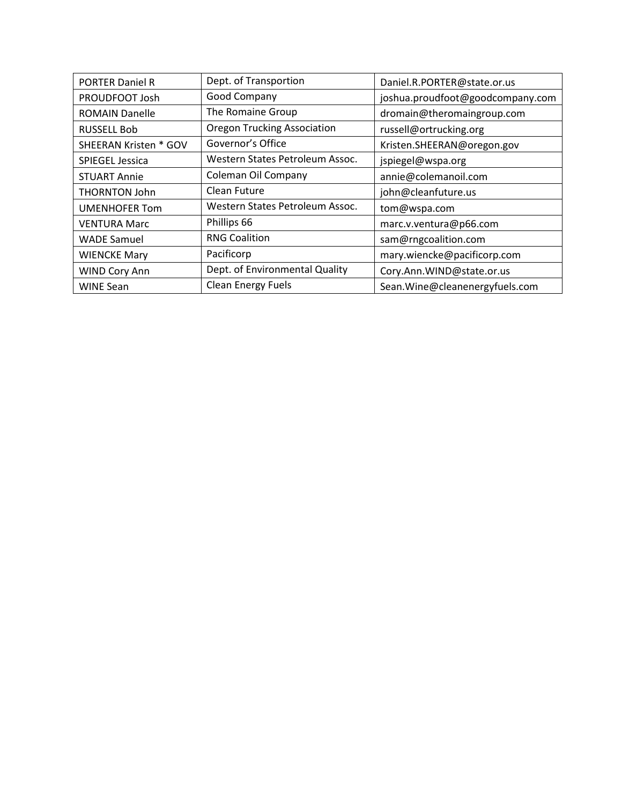| <b>PORTER Daniel R</b>       | Dept. of Transportion              | Daniel.R.PORTER@state.or.us      |
|------------------------------|------------------------------------|----------------------------------|
| PROUDFOOT Josh               | Good Company                       | joshua.proudfoot@goodcompany.com |
| <b>ROMAIN Danelle</b>        | The Romaine Group                  | dromain@theromaingroup.com       |
| <b>RUSSELL Bob</b>           | <b>Oregon Trucking Association</b> | russell@ortrucking.org           |
| <b>SHEERAN Kristen * GOV</b> | Governor's Office                  | Kristen.SHEERAN@oregon.gov       |
| SPIEGEL Jessica              | Western States Petroleum Assoc.    | jspiegel@wspa.org                |
| <b>STUART Annie</b>          | Coleman Oil Company                | annie@colemanoil.com             |
| <b>THORNTON John</b>         | Clean Future                       | john@cleanfuture.us              |
| <b>UMENHOFER Tom</b>         | Western States Petroleum Assoc.    | tom@wspa.com                     |
| <b>VENTURA Marc</b>          | Phillips 66                        | marc.v.ventura@p66.com           |
| <b>WADE Samuel</b>           | <b>RNG Coalition</b>               | sam@rngcoalition.com             |
| <b>WIENCKE Mary</b>          | Pacificorp                         | mary.wiencke@pacificorp.com      |
| WIND Cory Ann                | Dept. of Environmental Quality     | Cory.Ann.WIND@state.or.us        |
| <b>WINE Sean</b>             | <b>Clean Energy Fuels</b>          | Sean. Wine@cleanenergyfuels.com  |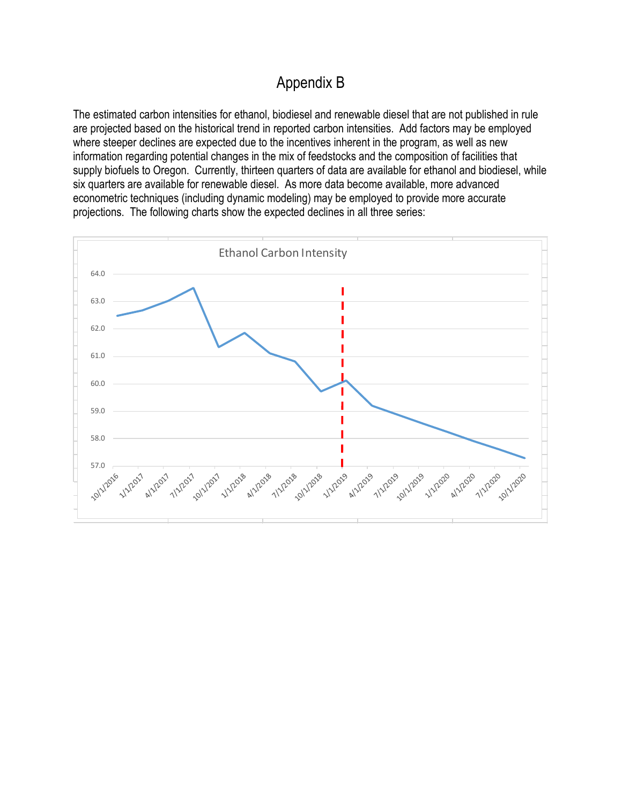## Appendix B

The estimated carbon intensities for ethanol, biodiesel and renewable diesel that are not published in rule are projected based on the historical trend in reported carbon intensities. Add factors may be employed where steeper declines are expected due to the incentives inherent in the program, as well as new information regarding potential changes in the mix of feedstocks and the composition of facilities that supply biofuels to Oregon. Currently, thirteen quarters of data are available for ethanol and biodiesel, while six quarters are available for renewable diesel. As more data become available, more advanced econometric techniques (including dynamic modeling) may be employed to provide more accurate projections. The following charts show the expected declines in all three series:

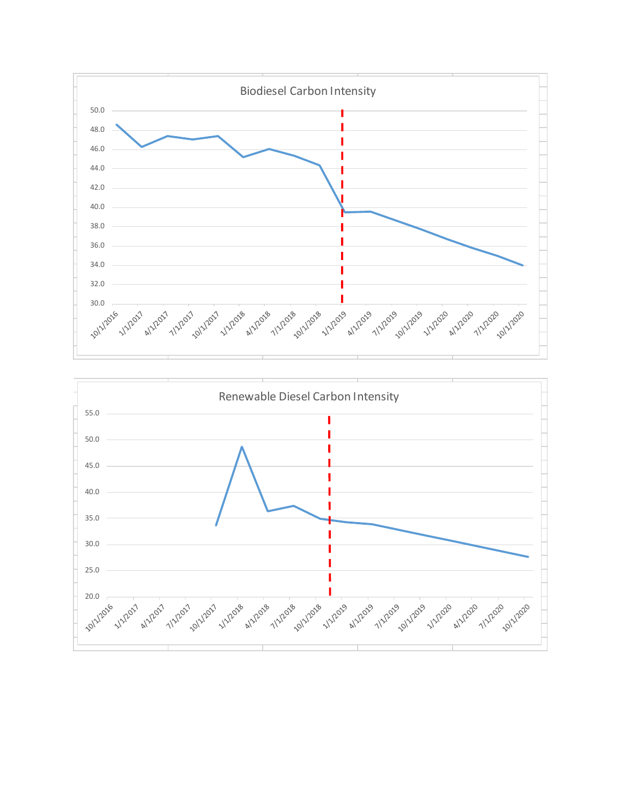